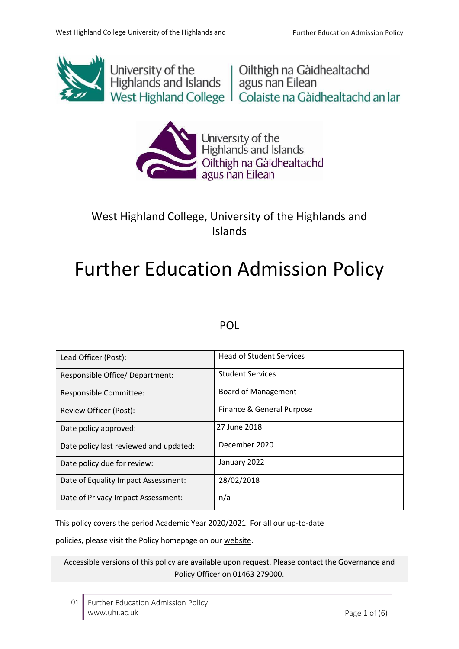

University of the University of the University of the Unit<br>Highlands and Islands | agus nan Eilean West Highland College | Colaiste na Gàidhealtachd an Iar



University of the<br>Highlands and Islands Oilthigh na Gàidhealtachd<br>agus nan Eilean

## West Highland College, University of the Highlands and Islands

# Further Education Admission Policy

## POL

| Lead Officer (Post):                   | <b>Head of Student Services</b> |
|----------------------------------------|---------------------------------|
| Responsible Office/ Department:        | <b>Student Services</b>         |
| Responsible Committee:                 | <b>Board of Management</b>      |
| Review Officer (Post):                 | Finance & General Purpose       |
| Date policy approved:                  | 27 June 2018                    |
| Date policy last reviewed and updated: | December 2020                   |
| Date policy due for review:            | January 2022                    |
| Date of Equality Impact Assessment:    | 28/02/2018                      |
| Date of Privacy Impact Assessment:     | n/a                             |

This policy covers the period Academic Year 2020/2021. For all our up-to-date

policies, please visit the Policy homepage on our website.

Accessible versions of this policy are available upon request. Please contact the Governance and Policy Officer on 01463 279000.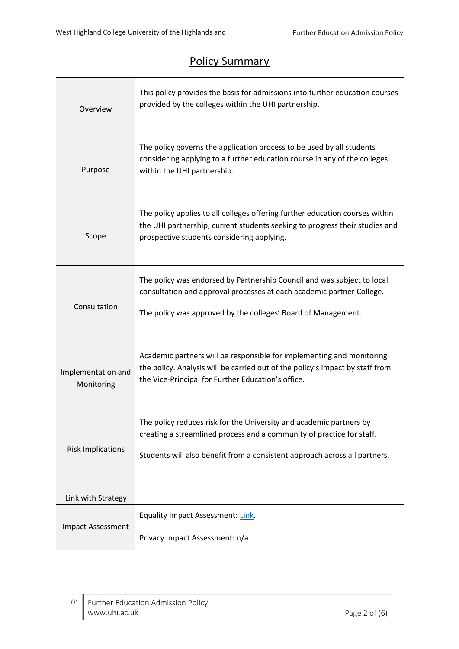$\Gamma$ 

## Policy Summary

| Overview                         | This policy provides the basis for admissions into further education courses<br>provided by the colleges within the UHI partnership.                                                                                       |  |
|----------------------------------|----------------------------------------------------------------------------------------------------------------------------------------------------------------------------------------------------------------------------|--|
| Purpose                          | The policy governs the application process to be used by all students<br>considering applying to a further education course in any of the colleges<br>within the UHI partnership.                                          |  |
| Scope                            | The policy applies to all colleges offering further education courses within<br>the UHI partnership, current students seeking to progress their studies and<br>prospective students considering applying.                  |  |
| Consultation                     | The policy was endorsed by Partnership Council and was subject to local<br>consultation and approval processes at each academic partner College.<br>The policy was approved by the colleges' Board of Management.          |  |
| Implementation and<br>Monitoring | Academic partners will be responsible for implementing and monitoring<br>the policy. Analysis will be carried out of the policy's impact by staff from<br>the Vice-Principal for Further Education's office.               |  |
| <b>Risk Implications</b>         | The policy reduces risk for the University and academic partners by<br>creating a streamlined process and a community of practice for staff.<br>Students will also benefit from a consistent approach across all partners. |  |
| Link with Strategy               |                                                                                                                                                                                                                            |  |
| <b>Impact Assessment</b>         | <b>Equality Impact Assessment: Link.</b>                                                                                                                                                                                   |  |
|                                  | Privacy Impact Assessment: n/a                                                                                                                                                                                             |  |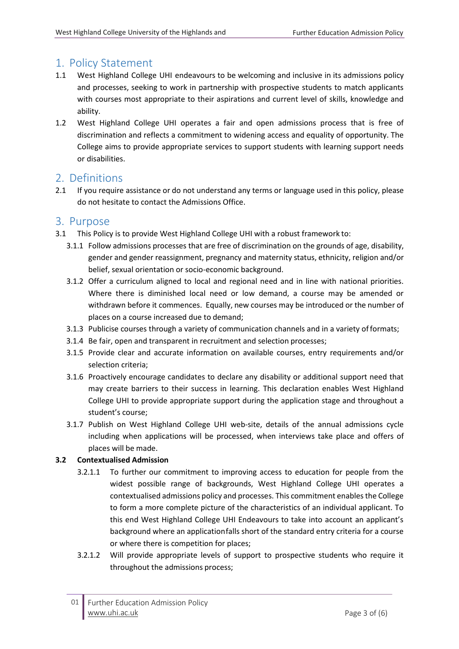## 1. Policy Statement

- 1.1 West Highland College UHI endeavours to be welcoming and inclusive in its admissions policy and processes, seeking to work in partnership with prospective students to match applicants with courses most appropriate to their aspirations and current level of skills, knowledge and ability.
- 1.2 West Highland College UHI operates a fair and open admissions process that is free of discrimination and reflects a commitment to widening access and equality of opportunity. The College aims to provide appropriate services to support students with learning support needs or disabilities.

## 2. Definitions

2.1 If you require assistance or do not understand any terms or language used in this policy, please do not hesitate to contact the Admissions Office.

## 3. Purpose

- 3.1 This Policy is to provide West Highland College UHI with a robust framework to:
	- 3.1.1 Follow admissions processes that are free of discrimination on the grounds of age, disability, gender and gender reassignment, pregnancy and maternity status, ethnicity, religion and/or belief, sexual orientation or socio-economic background.
	- 3.1.2 Offer a curriculum aligned to local and regional need and in line with national priorities. Where there is diminished local need or low demand, a course may be amended or withdrawn before it commences. Equally, new courses may be introduced or the number of places on a course increased due to demand;
	- 3.1.3 Publicise courses through a variety of communication channels and in a variety offormats;
	- 3.1.4 Be fair, open and transparent in recruitment and selection processes;
	- 3.1.5 Provide clear and accurate information on available courses, entry requirements and/or selection criteria;
	- 3.1.6 Proactively encourage candidates to declare any disability or additional support need that may create barriers to their success in learning. This declaration enables West Highland College UHI to provide appropriate support during the application stage and throughout a student's course;
	- 3.1.7 Publish on West Highland College UHI web-site, details of the annual admissions cycle including when applications will be processed, when interviews take place and offers of places will be made.

#### **3.2 Contextualised Admission**

- 3.2.1.1 To further our commitment to improving access to education for people from the widest possible range of backgrounds, West Highland College UHI operates a contextualised admissions policy and processes. This commitment enables the College to form a more complete picture of the characteristics of an individual applicant. To this end West Highland College UHI Endeavours to take into account an applicant's background where an applicationfalls short of the standard entry criteria for a course or where there is competition for places;
- 3.2.1.2 Will provide appropriate levels of support to prospective students who require it throughout the admissions process;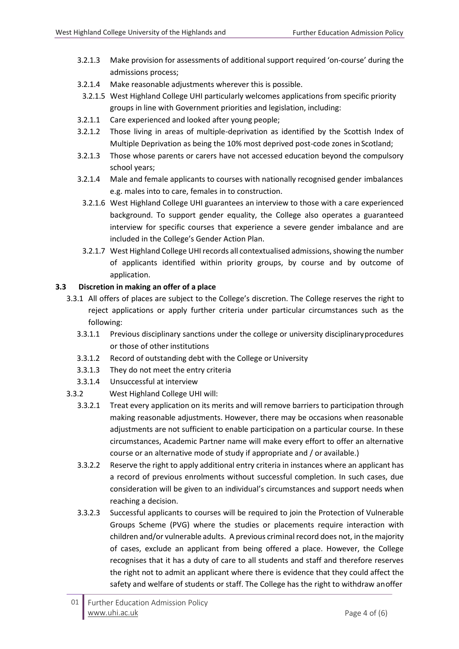- 3.2.1.3 Make provision for assessments of additional support required 'on-course' during the admissions process;
- 3.2.1.4 Make reasonable adjustments wherever this is possible.
- 3.2.1.5 West Highland College UHI particularly welcomes applications from specific priority groups in line with Government priorities and legislation, including:
- 3.2.1.1 Care experienced and looked after young people;
- 3.2.1.2 Those living in areas of multiple-deprivation as identified by the Scottish Index of Multiple Deprivation as being the 10% most deprived post-code zones in Scotland;
- 3.2.1.3 Those whose parents or carers have not accessed education beyond the compulsory school years;
- 3.2.1.4 Male and female applicants to courses with nationally recognised gender imbalances e.g. males into to care, females in to construction.
	- 3.2.1.6 West Highland College UHI guarantees an interview to those with a care experienced background. To support gender equality, the College also operates a guaranteed interview for specific courses that experience a severe gender imbalance and are included in the College's Gender Action Plan.
	- 3.2.1.7 West Highland College UHI records all contextualised admissions, showing the number of applicants identified within priority groups, by course and by outcome of application.

#### **3.3 Discretion in making an offer of a place**

- 3.3.1 All offers of places are subject to the College's discretion. The College reserves the right to reject applications or apply further criteria under particular circumstances such as the following:
	- 3.3.1.1 Previous disciplinary sanctions under the college or university disciplinaryprocedures or those of other institutions
	- 3.3.1.2 Record of outstanding debt with the College or University
	- 3.3.1.3 They do not meet the entry criteria
	- 3.3.1.4 Unsuccessful at interview
- 3.3.2 West Highland College UHI will:
	- 3.3.2.1 Treat every application on its merits and will remove barriers to participation through making reasonable adjustments. However, there may be occasions when reasonable adjustments are not sufficient to enable participation on a particular course. In these circumstances, Academic Partner name will make every effort to offer an alternative course or an alternative mode of study if appropriate and / or available.)
	- 3.3.2.2 Reserve the right to apply additional entry criteria in instances where an applicant has a record of previous enrolments without successful completion. In such cases, due consideration will be given to an individual's circumstances and support needs when reaching a decision.
	- 3.3.2.3 Successful applicants to courses will be required to join the Protection of Vulnerable Groups Scheme (PVG) where the studies or placements require interaction with children and/or vulnerable adults. A previous criminal record does not, in the majority of cases, exclude an applicant from being offered a place. However, the College recognises that it has a duty of care to all students and staff and therefore reserves the right not to admit an applicant where there is evidence that they could affect the safety and welfare of students or staff. The College has the right to withdraw anoffer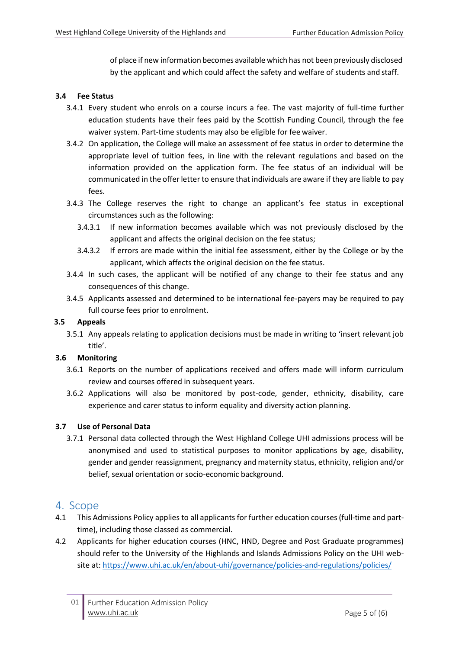of place if new information becomes available which has not been previously disclosed by the applicant and which could affect the safety and welfare of students and staff.

#### **3.4 Fee Status**

- 3.4.1 Every student who enrols on a course incurs a fee. The vast majority of full-time further education students have their fees paid by the Scottish Funding Council, through the fee waiver system. Part-time students may also be eligible for fee waiver.
- 3.4.2 On application, the College will make an assessment of fee status in order to determine the appropriate level of tuition fees, in line with the relevant regulations and based on the information provided on the application form. The fee status of an individual will be communicated in the offerletter to ensure that individuals are aware if they are liable to pay fees.
- 3.4.3 The College reserves the right to change an applicant's fee status in exceptional circumstances such as the following:
	- 3.4.3.1 If new information becomes available which was not previously disclosed by the applicant and affects the original decision on the fee status;
	- 3.4.3.2 If errors are made within the initial fee assessment, either by the College or by the applicant, which affects the original decision on the fee status.
- 3.4.4 In such cases, the applicant will be notified of any change to their fee status and any consequences of this change.
- 3.4.5 Applicants assessed and determined to be international fee-payers may be required to pay full course fees prior to enrolment.

#### **3.5 Appeals**

3.5.1 Any appeals relating to application decisions must be made in writing to 'insert relevant job title'.

#### **3.6 Monitoring**

- 3.6.1 Reports on the number of applications received and offers made will inform curriculum review and courses offered in subsequent years.
- 3.6.2 Applications will also be monitored by post-code, gender, ethnicity, disability, care experience and carer status to inform equality and diversity action planning.

#### **3.7 Use of Personal Data**

3.7.1 Personal data collected through the West Highland College UHI admissions process will be anonymised and used to statistical purposes to monitor applications by age, disability, gender and gender reassignment, pregnancy and maternity status, ethnicity, religion and/or belief, sexual orientation or socio-economic background.

#### 4. Scope

- 4.1 This Admissions Policy applies to all applicants for further education courses(full-time and parttime), including those classed as commercial.
- 4.2 Applicants for higher education courses (HNC, HND, Degree and Post Graduate programmes) should refer to the University of the Highlands and Islands Admissions Policy on the UHI website at: <https://www.uhi.ac.uk/en/about-uhi/governance/policies-and-regulations/policies/>